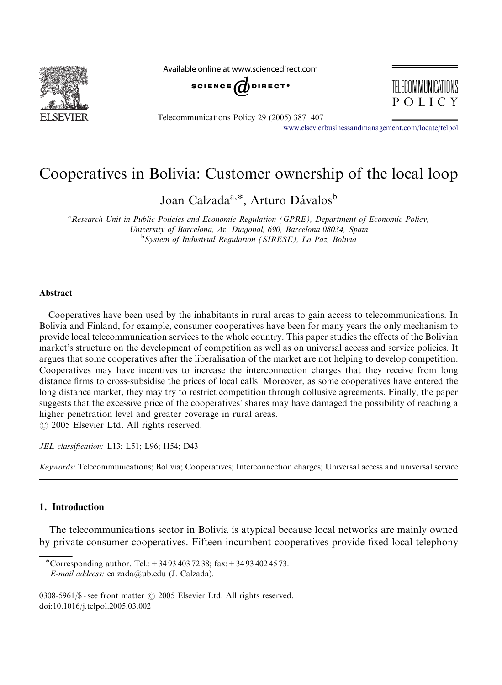

Available online at www.sciencedirect.com



TELECOMMINICATIONS POLICY

Telecommunications Policy 29 (2005) 387–407

<www.elsevierbusinessandmanagement.com/locate/telpol>

# Cooperatives in Bolivia: Customer ownership of the local loop

Joan Calzada<sup>a,\*</sup>, Arturo Dávalos<sup>b</sup>

<sup>a</sup> Research Unit in Public Policies and Economic Regulation (GPRE), Department of Economic Policy, University of Barcelona, Av. Diagonal, 690, Barcelona 08034, Spain <sup>b</sup>  $^{b}$ System of Industrial Regulation (SIRESE), La Paz, Bolivia

#### Abstract

Cooperatives have been used by the inhabitants in rural areas to gain access to telecommunications. In Bolivia and Finland, for example, consumer cooperatives have been for many years the only mechanism to provide local telecommunication services to the whole country. This paper studies the effects of the Bolivian market's structure on the development of competition as well as on universal access and service policies. It argues that some cooperatives after the liberalisation of the market are not helping to develop competition. Cooperatives may have incentives to increase the interconnection charges that they receive from long distance firms to cross-subsidise the prices of local calls. Moreover, as some cooperatives have entered the long distance market, they may try to restrict competition through collusive agreements. Finally, the paper suggests that the excessive price of the cooperatives' shares may have damaged the possibility of reaching a higher penetration level and greater coverage in rural areas.  $\odot$  2005 Elsevier Ltd. All rights reserved.

JEL classification: L13; L51; L96; H54; D43

Keywords: Telecommunications; Bolivia; Cooperatives; Interconnection charges; Universal access and universal service

# 1. Introduction

The telecommunications sector in Bolivia is atypical because local networks are mainly owned by private consumer cooperatives. Fifteen incumbent cooperatives provide fixed local telephony

<sup>\*</sup>Corresponding author. Tel.:  $+34934037238$ ; fax:  $+34934024573$ .

E-mail address: calzada@ub.edu (J. Calzada).

<sup>0308-5961/\$ -</sup> see front matter  $\odot$  2005 Elsevier Ltd. All rights reserved. doi:10.1016/j.telpol.2005.03.002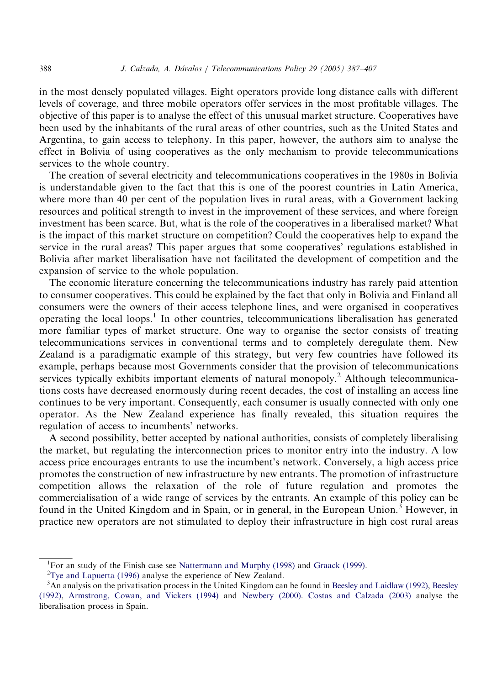in the most densely populated villages. Eight operators provide long distance calls with different levels of coverage, and three mobile operators offer services in the most profitable villages. The objective of this paper is to analyse the effect of this unusual market structure. Cooperatives have been used by the inhabitants of the rural areas of other countries, such as the United States and Argentina, to gain access to telephony. In this paper, however, the authors aim to analyse the effect in Bolivia of using cooperatives as the only mechanism to provide telecommunications services to the whole country.

The creation of several electricity and telecommunications cooperatives in the 1980s in Bolivia is understandable given to the fact that this is one of the poorest countries in Latin America, where more than 40 per cent of the population lives in rural areas, with a Government lacking resources and political strength to invest in the improvement of these services, and where foreign investment has been scarce. But, what is the role of the cooperatives in a liberalised market? What is the impact of this market structure on competition? Could the cooperatives help to expand the service in the rural areas? This paper argues that some cooperatives' regulations established in Bolivia after market liberalisation have not facilitated the development of competition and the expansion of service to the whole population.

The economic literature concerning the telecommunications industry has rarely paid attention to consumer cooperatives. This could be explained by the fact that only in Bolivia and Finland all consumers were the owners of their access telephone lines, and were organised in cooperatives operating the local loops.1 In other countries, telecommunications liberalisation has generated more familiar types of market structure. One way to organise the sector consists of treating telecommunications services in conventional terms and to completely deregulate them. New Zealand is a paradigmatic example of this strategy, but very few countries have followed its example, perhaps because most Governments consider that the provision of telecommunications services typically exhibits important elements of natural monopoly.<sup>2</sup> Although telecommunications costs have decreased enormously during recent decades, the cost of installing an access line continues to be very important. Consequently, each consumer is usually connected with only one operator. As the NewZealand experience has finally revealed, this situation requires the regulation of access to incumbents' networks.

A second possibility, better accepted by national authorities, consists of completely liberalising the market, but regulating the interconnection prices to monitor entry into the industry. A low access price encourages entrants to use the incumbent's network. Conversely, a high access price promotes the construction of newinfrastructure by newentrants. The promotion of infrastructure competition allows the relaxation of the role of future regulation and promotes the commercialisation of a wide range of services by the entrants. An example of this policy can be found in the United Kingdom and in Spain, or in general, in the European Union.<sup>3</sup> However, in practice newoperators are not stimulated to deploy their infrastructure in high cost rural areas

<sup>&</sup>lt;sup>1</sup>For an study of the Finish case see [Nattermann and Murphy \(1998\)](#page-19-0) and [Graack \(1999\).](#page-19-0)

 $2$ [Tye and Lapuerta \(1996\)](#page-19-0) analyse the experience of New Zealand.

<sup>&</sup>lt;sup>3</sup>An analysis on the privatisation process in the United Kingdom can be found in [Beesley](#page-18-0) and Laidlaw (1992), Beesley [\(1992\)](#page-18-0), [Armstrong, Cowan, and Vickers \(1994\)](#page-18-0) and [Newbery \(2000\)](#page-19-0). [Costas and Calzada \(2003\)](#page-19-0) analyse the liberalisation process in Spain.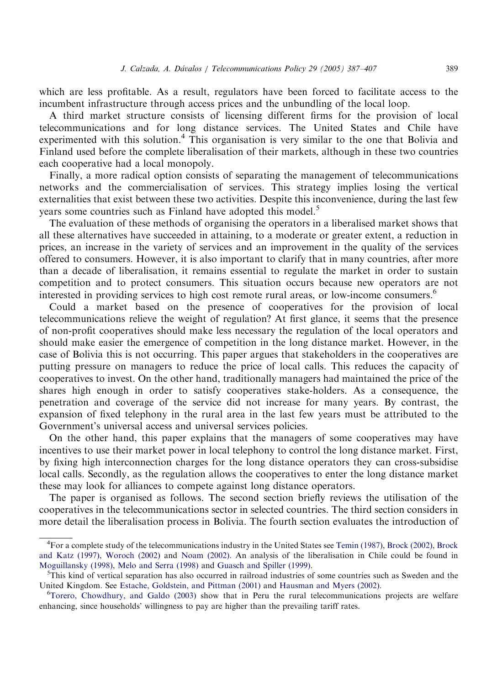which are less profitable. As a result, regulators have been forced to facilitate access to the incumbent infrastructure through access prices and the unbundling of the local loop.

A third market structure consists of licensing different firms for the provision of local telecommunications and for long distance services. The United States and Chile have experimented with this solution.<sup>4</sup> This organisation is very similar to the one that Bolivia and Finland used before the complete liberalisation of their markets, although in these two countries each cooperative had a local monopoly.

Finally, a more radical option consists of separating the management of telecommunications networks and the commercialisation of services. This strategy implies losing the vertical externalities that exist between these two activities. Despite this inconvenience, during the last few years some countries such as Finland have adopted this model.<sup>5</sup>

The evaluation of these methods of organising the operators in a liberalised market shows that all these alternatives have succeeded in attaining, to a moderate or greater extent, a reduction in prices, an increase in the variety of services and an improvement in the quality of the services offered to consumers. However, it is also important to clarify that in many countries, after more than a decade of liberalisation, it remains essential to regulate the market in order to sustain competition and to protect consumers. This situation occurs because newoperators are not interested in providing services to high cost remote rural areas, or low-income consumers.<sup>6</sup>

Could a market based on the presence of cooperatives for the provision of local telecommunications relieve the weight of regulation? At first glance, it seems that the presence of non-profit cooperatives should make less necessary the regulation of the local operators and should make easier the emergence of competition in the long distance market. However, in the case of Bolivia this is not occurring. This paper argues that stakeholders in the cooperatives are putting pressure on managers to reduce the price of local calls. This reduces the capacity of cooperatives to invest. On the other hand, traditionally managers had maintained the price of the shares high enough in order to satisfy cooperatives stake-holders. As a consequence, the penetration and coverage of the service did not increase for many years. By contrast, the expansion of fixed telephony in the rural area in the last fewyears must be attributed to the Government's universal access and universal services policies.

On the other hand, this paper explains that the managers of some cooperatives may have incentives to use their market power in local telephony to control the long distance market. First, by fixing high interconnection charges for the long distance operators they can cross-subsidise local calls. Secondly, as the regulation allows the cooperatives to enter the long distance market these may look for alliances to compete against long distance operators.

The paper is organised as follows. The second section briefly reviews the utilisation of the cooperatives in the telecommunications sector in selected countries. The third section considers in more detail the liberalisation process in Bolivia. The fourth section evaluates the introduction of

<sup>&</sup>lt;sup>4</sup>For a complete study of the telecommunications industry in the United States see [Temin \(1987\)](#page-19-0), [Brock \(2002\),](#page-18-0) [Brock](#page-19-0) [and Katz \(1997\),](#page-19-0) [Woroch \(2002\)](#page-19-0) and [Noam \(2002\).](#page-19-0) An analysis of the liberalisation in Chile could be found in [Moguillansky \(1998\)](#page-19-0), [Melo and Serra \(1998\)](#page-19-0) and [Guasch and Spiller \(1999\).](#page-19-0)

 $5$ This kind of vertical separation has also occurred in railroad industries of some countries such as Sweden and the United Kingdom. See [Estache, Goldstein, and Pittman \(2001\)](#page-19-0) and [Hausman and Myers \(2002\).](#page-19-0)

 ${}^{6}$ [Torero, Chowdhury, and Galdo \(2003\)](#page-19-0) show that in Peru the rural telecommunications projects are welfare enhancing, since households' willingness to pay are higher than the prevailing tariff rates.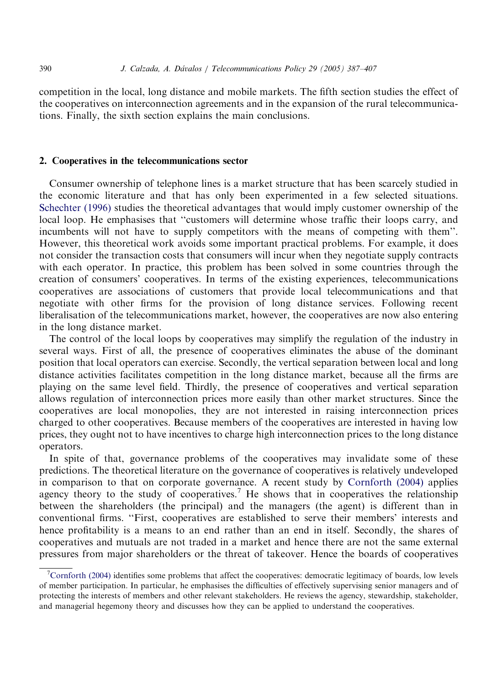competition in the local, long distance and mobile markets. The fifth section studies the effect of the cooperatives on interconnection agreements and in the expansion of the rural telecommunications. Finally, the sixth section explains the main conclusions.

#### 2. Cooperatives in the telecommunications sector

Consumer ownership of telephone lines is a market structure that has been scarcely studied in the economic literature and that has only been experimented in a fewselected situations. [Schechter \(1996\)](#page-19-0) studies the theoretical advantages that would imply customer ownership of the local loop. He emphasises that ''customers will determine whose traffic their loops carry, and incumbents will not have to supply competitors with the means of competing with them''. However, this theoretical work avoids some important practical problems. For example, it does not consider the transaction costs that consumers will incur when they negotiate supply contracts with each operator. In practice, this problem has been solved in some countries through the creation of consumers' cooperatives. In terms of the existing experiences, telecommunications cooperatives are associations of customers that provide local telecommunications and that negotiate with other firms for the provision of long distance services. Following recent liberalisation of the telecommunications market, however, the cooperatives are now also entering in the long distance market.

The control of the local loops by cooperatives may simplify the regulation of the industry in several ways. First of all, the presence of cooperatives eliminates the abuse of the dominant position that local operators can exercise. Secondly, the vertical separation between local and long distance activities facilitates competition in the long distance market, because all the firms are playing on the same level field. Thirdly, the presence of cooperatives and vertical separation allows regulation of interconnection prices more easily than other market structures. Since the cooperatives are local monopolies, they are not interested in raising interconnection prices charged to other cooperatives. Because members of the cooperatives are interested in having low prices, they ought not to have incentives to charge high interconnection prices to the long distance operators.

In spite of that, governance problems of the cooperatives may invalidate some of these predictions. The theoretical literature on the governance of cooperatives is relatively undeveloped in comparison to that on corporate governance. A recent study by [Cornforth \(2004\)](#page-19-0) applies agency theory to the study of cooperatives.<sup>7</sup> He shows that in cooperatives the relationship between the shareholders (the principal) and the managers (the agent) is different than in conventional firms. ''First, cooperatives are established to serve their members' interests and hence profitability is a means to an end rather than an end in itself. Secondly, the shares of cooperatives and mutuals are not traded in a market and hence there are not the same external pressures from major shareholders or the threat of takeover. Hence the boards of cooperatives

<sup>&</sup>lt;sup>7</sup>[Cornforth \(2004\)](#page-19-0) identifies some problems that affect the cooperatives: democratic legitimacy of boards, low levels of member participation. In particular, he emphasises the difficulties of effectively supervising senior managers and of protecting the interests of members and other relevant stakeholders. He reviews the agency, stewardship, stakeholder, and managerial hegemony theory and discusses howthey can be applied to understand the cooperatives.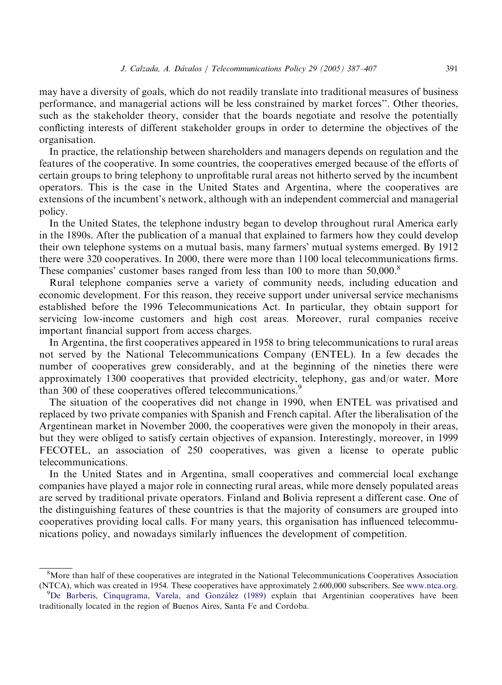may have a diversity of goals, which do not readily translate into traditional measures of business performance, and managerial actions will be less constrained by market forces''. Other theories, such as the stakeholder theory, consider that the boards negotiate and resolve the potentially conflicting interests of different stakeholder groups in order to determine the objectives of the organisation.

In practice, the relationship between shareholders and managers depends on regulation and the features of the cooperative. In some countries, the cooperatives emerged because of the efforts of certain groups to bring telephony to unprofitable rural areas not hitherto served by the incumbent operators. This is the case in the United States and Argentina, where the cooperatives are extensions of the incumbent's network, although with an independent commercial and managerial policy.

In the United States, the telephone industry began to develop throughout rural America early in the 1890s. After the publication of a manual that explained to farmers howthey could develop their own telephone systems on a mutual basis, many farmers' mutual systems emerged. By 1912 there were 320 cooperatives. In 2000, there were more than 1100 local telecommunications firms. These companies' customer bases ranged from less than 100 to more than 50,000.<sup>8</sup>

Rural telephone companies serve a variety of community needs, including education and economic development. For this reason, they receive support under universal service mechanisms established before the 1996 Telecommunications Act. In particular, they obtain support for servicing low-income customers and high cost areas. Moreover, rural companies receive important financial support from access charges.

In Argentina, the first cooperatives appeared in 1958 to bring telecommunications to rural areas not served by the National Telecommunications Company (ENTEL). In a fewdecades the number of cooperatives grew considerably, and at the beginning of the nineties there were approximately 1300 cooperatives that provided electricity, telephony, gas and/or water. More than 300 of these cooperatives offered telecommunications.<sup>9</sup>

The situation of the cooperatives did not change in 1990, when ENTEL was privatised and replaced by two private companies with Spanish and French capital. After the liberalisation of the Argentinean market in November 2000, the cooperatives were given the monopoly in their areas, but they were obliged to satisfy certain objectives of expansion. Interestingly, moreover, in 1999 FECOTEL, an association of 250 cooperatives, was given a license to operate public telecommunications.

In the United States and in Argentina, small cooperatives and commercial local exchange companies have played a major role in connecting rural areas, while more densely populated areas are served by traditional private operators. Finland and Bolivia represent a different case. One of the distinguishing features of these countries is that the majority of consumers are grouped into cooperatives providing local calls. For many years, this organisation has influenced telecommunications policy, and nowadays similarly influences the development of competition.

<sup>&</sup>lt;sup>8</sup>More than half of these cooperatives are integrated in the National Telecommunications Cooperatives Association (NTCA), which was created in 1954. These cooperatives have approximately 2.600,000 subscribers. See [www.ntca.org](http://www.ntca.org). <sup>9</sup>

<sup>&</sup>lt;sup>9</sup>De Barberis, Cinqugrama, Varela, and González (1989) explain that Argentinian cooperatives have been traditionally located in the region of Buenos Aires, Santa Fe and Cordoba.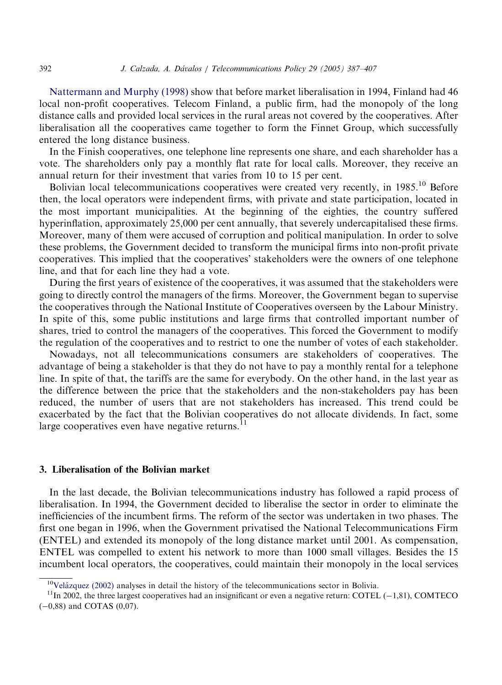[Nattermann and Murphy \(1998\)](#page-19-0) showthat before market liberalisation in 1994, Finland had 46 local non-profit cooperatives. Telecom Finland, a public firm, had the monopoly of the long distance calls and provided local services in the rural areas not covered by the cooperatives. After liberalisation all the cooperatives came together to form the Finnet Group, which successfully entered the long distance business.

In the Finish cooperatives, one telephone line represents one share, and each shareholder has a vote. The shareholders only pay a monthly flat rate for local calls. Moreover, they receive an annual return for their investment that varies from 10 to 15 per cent.

Bolivian local telecommunications cooperatives were created very recently, in 1985.<sup>10</sup> Before then, the local operators were independent firms, with private and state participation, located in the most important municipalities. At the beginning of the eighties, the country suffered hyperinflation, approximately 25,000 per cent annually, that severely undercapitalised these firms. Moreover, many of them were accused of corruption and political manipulation. In order to solve these problems, the Government decided to transform the municipal firms into non-profit private cooperatives. This implied that the cooperatives' stakeholders were the owners of one telephone line, and that for each line they had a vote.

During the first years of existence of the cooperatives, it was assumed that the stakeholders were going to directly control the managers of the firms. Moreover, the Government began to supervise the cooperatives through the National Institute of Cooperatives overseen by the Labour Ministry. In spite of this, some public institutions and large firms that controlled important number of shares, tried to control the managers of the cooperatives. This forced the Government to modify the regulation of the cooperatives and to restrict to one the number of votes of each stakeholder.

Nowadays, not all telecommunications consumers are stakeholders of cooperatives. The advantage of being a stakeholder is that they do not have to pay a monthly rental for a telephone line. In spite of that, the tariffs are the same for everybody. On the other hand, in the last year as the difference between the price that the stakeholders and the non-stakeholders pay has been reduced, the number of users that are not stakeholders has increased. This trend could be exacerbated by the fact that the Bolivian cooperatives do not allocate dividends. In fact, some large cooperatives even have negative returns. $^{11}$ 

## 3. Liberalisation of the Bolivian market

In the last decade, the Bolivian telecommunications industry has followed a rapid process of liberalisation. In 1994, the Government decided to liberalise the sector in order to eliminate the inefficiencies of the incumbent firms. The reform of the sector was undertaken in two phases. The first one began in 1996, when the Government privatised the National Telecommunications Firm (ENTEL) and extended its monopoly of the long distance market until 2001. As compensation, ENTEL was compelled to extent his network to more than 1000 small villages. Besides the 15 incumbent local operators, the cooperatives, could maintain their monopoly in the local services

<sup>&</sup>lt;sup>10</sup>Velázquez (2002) analyses in detail the history of the telecommunications sector in Bolivia.<br><sup>11</sup>In 2002, the three largest cooperatives had an insignificant or even a negative return: COTEL (-1,81), COMTECO  $(-0.88)$  and COTAS  $(0.07)$ .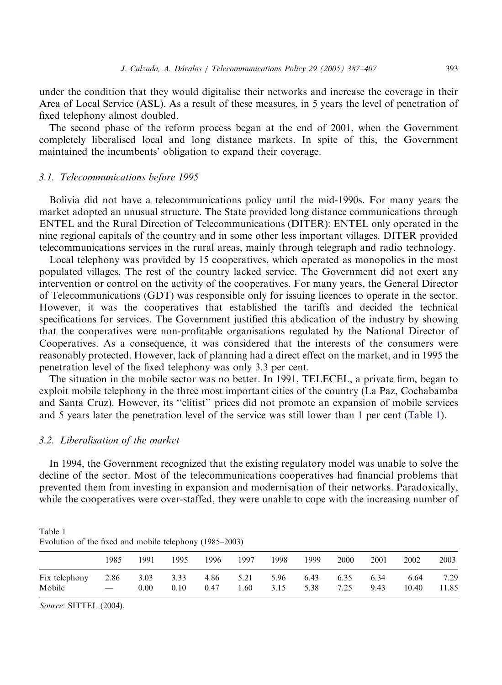under the condition that they would digitalise their networks and increase the coverage in their Area of Local Service (ASL). As a result of these measures, in 5 years the level of penetration of fixed telephony almost doubled.

The second phase of the reform process began at the end of 2001, when the Government completely liberalised local and long distance markets. In spite of this, the Government maintained the incumbents' obligation to expand their coverage.

## 3.1. Telecommunications before 1995

Bolivia did not have a telecommunications policy until the mid-1990s. For many years the market adopted an unusual structure. The State provided long distance communications through ENTEL and the Rural Direction of Telecommunications (DITER): ENTEL only operated in the nine regional capitals of the country and in some other less important villages. DITER provided telecommunications services in the rural areas, mainly through telegraph and radio technology.

Local telephony was provided by 15 cooperatives, which operated as monopolies in the most populated villages. The rest of the country lacked service. The Government did not exert any intervention or control on the activity of the cooperatives. For many years, the General Director of Telecommunications (GDT) was responsible only for issuing licences to operate in the sector. However, it was the cooperatives that established the tariffs and decided the technical specifications for services. The Government justified this abdication of the industry by showing that the cooperatives were non-profitable organisations regulated by the National Director of Cooperatives. As a consequence, it was considered that the interests of the consumers were reasonably protected. However, lack of planning had a direct effect on the market, and in 1995 the penetration level of the fixed telephony was only 3.3 per cent.

The situation in the mobile sector was no better. In 1991, TELECEL, a private firm, began to exploit mobile telephony in the three most important cities of the country (La Paz, Cochabamba and Santa Cruz). However, its ''elitist'' prices did not promote an expansion of mobile services and 5 years later the penetration level of the service was still lower than 1 per cent (Table 1).

#### 3.2. Liberalisation of the market

In 1994, the Government recognized that the existing regulatory model was unable to solve the decline of the sector. Most of the telecommunications cooperatives had financial problems that prevented them from investing in expansion and modernisation of their networks. Paradoxically, while the cooperatives were over-staffed, they were unable to cope with the increasing number of

Table 1 Evolution of the fixed and mobile telephony (1985–2003)

|               | 1985 | 1991     | 1995 | 1996 | 1997 | 1998 | 1999 | 2000 | 2001 | 2002  | 2003  |
|---------------|------|----------|------|------|------|------|------|------|------|-------|-------|
| Fix telephony | 2.86 | 3.03     | 3.33 | 4.86 | 5.21 | 5.96 | 6.43 | 6.35 | 6.34 | 6.64  | 7.29  |
| Mobile        |      | $0.00\,$ | 0.10 | 0.47 | .60  | 3.15 | 5.38 | 7.25 | 9.43 | 10.40 | 11.85 |

Source: SITTEL (2004).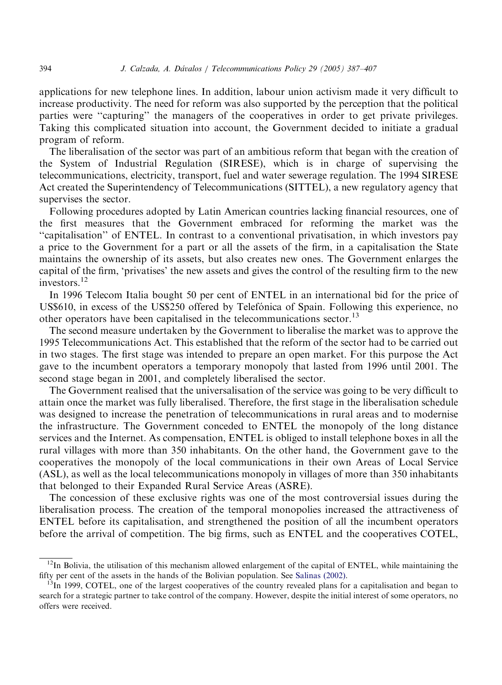applications for newtelephone lines. In addition, labour union activism made it very difficult to increase productivity. The need for reform was also supported by the perception that the political parties were ''capturing'' the managers of the cooperatives in order to get private privileges. Taking this complicated situation into account, the Government decided to initiate a gradual program of reform.

The liberalisation of the sector was part of an ambitious reform that began with the creation of the System of Industrial Regulation (SIRESE), which is in charge of supervising the telecommunications, electricity, transport, fuel and water sewerage regulation. The 1994 SIRESE Act created the Superintendency of Telecommunications (SITTEL), a newregulatory agency that supervises the sector.

Following procedures adopted by Latin American countries lacking financial resources, one of the first measures that the Government embraced for reforming the market was the ''capitalisation'' of ENTEL. In contrast to a conventional privatisation, in which investors pay a price to the Government for a part or all the assets of the firm, in a capitalisation the State maintains the ownership of its assets, but also creates new ones. The Government enlarges the capital of the firm, 'privatises' the newassets and gives the control of the resulting firm to the new investors.12

In 1996 Telecom Italia bought 50 per cent of ENTEL in an international bid for the price of US\$610, in excess of the US\$250 offered by Telefonica of Spain. Following this experience, no other operators have been capitalised in the telecommunications sector.<sup>13</sup>

The second measure undertaken by the Government to liberalise the market was to approve the 1995 Telecommunications Act. This established that the reform of the sector had to be carried out in two stages. The first stage was intended to prepare an open market. For this purpose the Act gave to the incumbent operators a temporary monopoly that lasted from 1996 until 2001. The second stage began in 2001, and completely liberalised the sector.

The Government realised that the universalisation of the service was going to be very difficult to attain once the market was fully liberalised. Therefore, the first stage in the liberalisation schedule was designed to increase the penetration of telecommunications in rural areas and to modernise the infrastructure. The Government conceded to ENTEL the monopoly of the long distance services and the Internet. As compensation, ENTEL is obliged to install telephone boxes in all the rural villages with more than 350 inhabitants. On the other hand, the Government gave to the cooperatives the monopoly of the local communications in their own Areas of Local Service (ASL), as well as the local telecommunications monopoly in villages of more than 350 inhabitants that belonged to their Expanded Rural Service Areas (ASRE).

The concession of these exclusive rights was one of the most controversial issues during the liberalisation process. The creation of the temporal monopolies increased the attractiveness of ENTEL before its capitalisation, and strengthened the position of all the incumbent operators before the arrival of competition. The big firms, such as ENTEL and the cooperatives COTEL,

 $12$ In Bolivia, the utilisation of this mechanism allowed enlargement of the capital of ENTEL, while maintaining the fifty per cent of the assets in the hands of the Bolivian population. See [Salinas \(2002\).](#page-19-0)<br><sup>13</sup>In 1999, COTEL, one of the largest cooperatives of the country revealed plans for a capitalisation and began to

search for a strategic partner to take control of the company. However, despite the initial interest of some operators, no offers were received.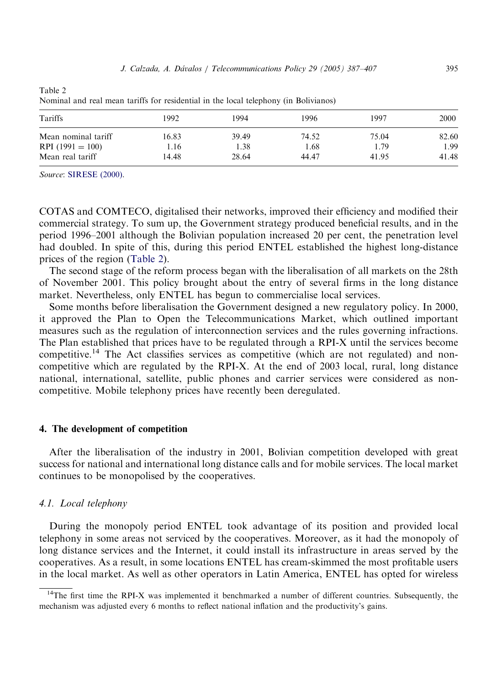| Tariffs             | 1992  | 1994  | 1996  | 1997  | 2000  |  |
|---------------------|-------|-------|-------|-------|-------|--|
| Mean nominal tariff | 16.83 | 39.49 | 74.52 | 75.04 | 82.60 |  |
| $RPI (1991 = 100)$  | 1.16  | 1.38  | 1.68  | 1.79  | 1.99  |  |
| Mean real tariff    | 14.48 | 28.64 | 44.47 | 41.95 | 41.48 |  |

Table 2 Nominal and real mean tariffs for residential in the local telephony (in Bolivianos)

Source: [SIRESE \(2000\).](#page-19-0)

COTAS and COMTECO, digitalised their networks, improved their efficiency and modified their commercial strategy. To sum up, the Government strategy produced beneficial results, and in the period 1996–2001 although the Bolivian population increased 20 per cent, the penetration level had doubled. In spite of this, during this period ENTEL established the highest long-distance prices of the region (Table 2).

The second stage of the reform process began with the liberalisation of all markets on the 28th of November 2001. This policy brought about the entry of several firms in the long distance market. Nevertheless, only ENTEL has begun to commercialise local services.

Some months before liberalisation the Government designed a newregulatory policy. In 2000, it approved the Plan to Open the Telecommunications Market, which outlined important measures such as the regulation of interconnection services and the rules governing infractions. The Plan established that prices have to be regulated through a RPI-X until the services become competitive.<sup>14</sup> The Act classifies services as competitive (which are not regulated) and noncompetitive which are regulated by the RPI-X. At the end of 2003 local, rural, long distance national, international, satellite, public phones and carrier services were considered as noncompetitive. Mobile telephony prices have recently been deregulated.

# 4. The development of competition

After the liberalisation of the industry in 2001, Bolivian competition developed with great success for national and international long distance calls and for mobile services. The local market continues to be monopolised by the cooperatives.

# 4.1. Local telephony

During the monopoly period ENTEL took advantage of its position and provided local telephony in some areas not serviced by the cooperatives. Moreover, as it had the monopoly of long distance services and the Internet, it could install its infrastructure in areas served by the cooperatives. As a result, in some locations ENTEL has cream-skimmed the most profitable users in the local market. As well as other operators in Latin America, ENTEL has opted for wireless

 $14$ The first time the RPI-X was implemented it benchmarked a number of different countries. Subsequently, the mechanism was adjusted every 6 months to reflect national inflation and the productivity's gains.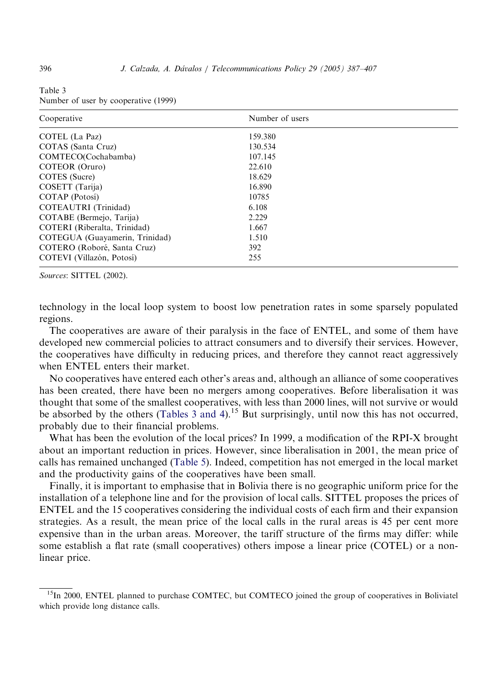| Table 3 |  |                                      |  |
|---------|--|--------------------------------------|--|
|         |  | Number of user by cooperative (1999) |  |

| Cooperative                    | Number of users |
|--------------------------------|-----------------|
| COTEL (La Paz)                 | 159.380         |
| COTAS (Santa Cruz)             | 130.534         |
| COMTECO(Cochabamba)            | 107.145         |
| COTEOR (Oruro)                 | 22.610          |
| COTES (Sucre)                  | 18.629          |
| COSETT (Tarija)                | 16.890          |
| COTAP (Potosí)                 | 10785           |
| COTEAUTRI (Trinidad)           | 6.108           |
| COTABE (Bermejo, Tarija)       | 2.229           |
| COTERI (Riberalta, Trinidad)   | 1.667           |
| COTEGUA (Guayamerin, Trinidad) | 1.510           |
| COTERO (Roboré, Santa Cruz)    | 392             |
| COTEVI (Villazón, Potosí)      | 255             |

Sources: SITTEL (2002).

technology in the local loop system to boost lowpenetration rates in some sparsely populated regions.

The cooperatives are aware of their paralysis in the face of ENTEL, and some of them have developed new commercial policies to attract consumers and to diversify their services. However, the cooperatives have difficulty in reducing prices, and therefore they cannot react aggressively when ENTEL enters their market.

No cooperatives have entered each other's areas and, although an alliance of some cooperatives has been created, there have been no mergers among cooperatives. Before liberalisation it was thought that some of the smallest cooperatives, with less than 2000 lines, will not survive or would be absorbed by the others (Tables 3 and 4).<sup>15</sup> But surprisingly, until now this has not occurred, probably due to their financial problems.

What has been the evolution of the local prices? In 1999, a modification of the RPI-X brought about an important reduction in prices. However, since liberalisation in 2001, the mean price of calls has remained unchanged [\(Table 5](#page-10-0)). Indeed, competition has not emerged in the local market and the productivity gains of the cooperatives have been small.

Finally, it is important to emphasise that in Bolivia there is no geographic uniform price for the installation of a telephone line and for the provision of local calls. SITTEL proposes the prices of ENTEL and the 15 cooperatives considering the individual costs of each firm and their expansion strategies. As a result, the mean price of the local calls in the rural areas is 45 per cent more expensive than in the urban areas. Moreover, the tariff structure of the firms may differ: while some establish a flat rate (small cooperatives) others impose a linear price (COTEL) or a nonlinear price.

<sup>&</sup>lt;sup>15</sup>In 2000, ENTEL planned to purchase COMTEC, but COMTECO joined the group of cooperatives in Boliviatel which provide long distance calls.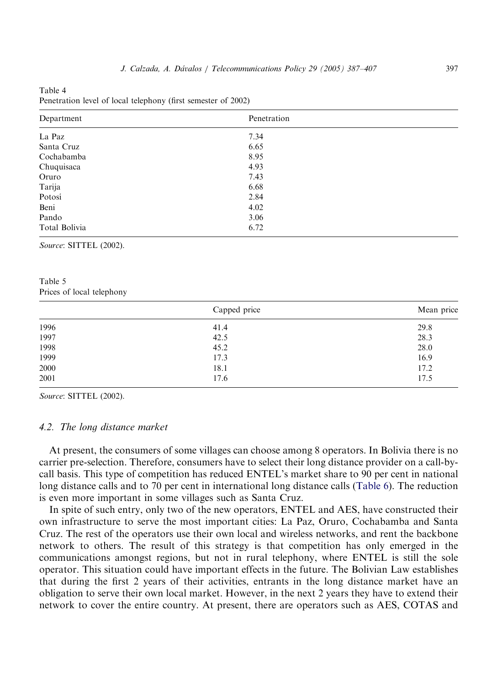<span id="page-10-0"></span>

| Table 4                                                       |  |  |  |
|---------------------------------------------------------------|--|--|--|
| Penetration level of local telephony (first semester of 2002) |  |  |  |

| Department    | Penetration |  |
|---------------|-------------|--|
| La Paz        | 7.34        |  |
| Santa Cruz    | 6.65        |  |
| Cochabamba    | 8.95        |  |
| Chuquisaca    | 4.93        |  |
| Oruro         | 7.43        |  |
| Tarija        | 6.68        |  |
| Potosí        | 2.84        |  |
| Beni          | 4.02        |  |
| Pando         | 3.06        |  |
| Total Bolivia | 6.72        |  |

Source: SITTEL (2002).

Table 5 Prices of local telephony

|      | Capped price | Mean price |  |
|------|--------------|------------|--|
| 1996 | 41.4         | 29.8       |  |
| 1997 | 42.5         | 28.3       |  |
| 1998 | 45.2         | 28.0       |  |
| 1999 | 17.3         | 16.9       |  |
| 2000 | 18.1         | 17.2       |  |
| 2001 | 17.6         | 17.5       |  |

Source: SITTEL (2002).

# 4.2. The long distance market

At present, the consumers of some villages can choose among 8 operators. In Bolivia there is no carrier pre-selection. Therefore, consumers have to select their long distance provider on a call-bycall basis. This type of competition has reduced ENTEL's market share to 90 per cent in national long distance calls and to 70 per cent in international long distance calls [\(Table 6](#page-11-0)). The reduction is even more important in some villages such as Santa Cruz.

In spite of such entry, only two of the new operators, ENTEL and AES, have constructed their own infrastructure to serve the most important cities: La Paz, Oruro, Cochabamba and Santa Cruz. The rest of the operators use their own local and wireless networks, and rent the backbone network to others. The result of this strategy is that competition has only emerged in the communications amongst regions, but not in rural telephony, where ENTEL is still the sole operator. This situation could have important effects in the future. The Bolivian Lawestablishes that during the first 2 years of their activities, entrants in the long distance market have an obligation to serve their own local market. However, in the next 2 years they have to extend their network to cover the entire country. At present, there are operators such as AES, COTAS and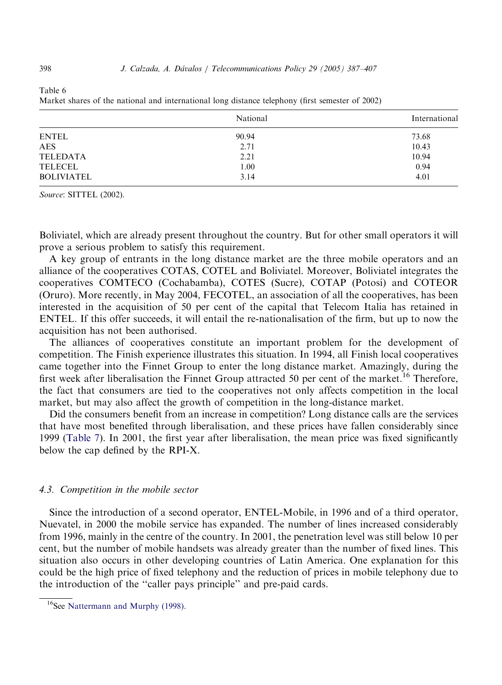|                   | National | International |
|-------------------|----------|---------------|
| <b>ENTEL</b>      | 90.94    | 73.68         |
| <b>AES</b>        | 2.71     | 10.43         |
| <b>TELEDATA</b>   | 2.21     | 10.94         |
| <b>TELECEL</b>    | 1.00     | 0.94          |
| <b>BOLIVIATEL</b> | 3.14     | 4.01          |
|                   |          |               |

Table 6

|  | Market shares of the national and international long distance telephony (first semester of 2002) |  |  |  |  |  |
|--|--------------------------------------------------------------------------------------------------|--|--|--|--|--|
|--|--------------------------------------------------------------------------------------------------|--|--|--|--|--|

Source: SITTEL (2002).

Boliviatel, which are already present throughout the country. But for other small operators it will prove a serious problem to satisfy this requirement.

A key group of entrants in the long distance market are the three mobile operators and an alliance of the cooperatives COTAS, COTEL and Boliviatel. Moreover, Boliviatel integrates the cooperatives COMTECO (Cochabamba), COTES (Sucre), COTAP (Potosí) and COTEOR (Oruro). More recently, in May 2004, FECOTEL, an association of all the cooperatives, has been interested in the acquisition of 50 per cent of the capital that Telecom Italia has retained in ENTEL. If this offer succeeds, it will entail the re-nationalisation of the firm, but up to now the acquisition has not been authorised.

The alliances of cooperatives constitute an important problem for the development of competition. The Finish experience illustrates this situation. In 1994, all Finish local cooperatives came together into the Finnet Group to enter the long distance market. Amazingly, during the first week after liberalisation the Finnet Group attracted 50 per cent of the market.<sup>16</sup> Therefore, the fact that consumers are tied to the cooperatives not only affects competition in the local market, but may also affect the growth of competition in the long-distance market.

Did the consumers benefit from an increase in competition? Long distance calls are the services that have most benefited through liberalisation, and these prices have fallen considerably since 1999 ([Table 7\)](#page-12-0). In 2001, the first year after liberalisation, the mean price was fixed significantly belowthe cap defined by the RPI-X.

#### 4.3. Competition in the mobile sector

Since the introduction of a second operator, ENTEL-Mobile, in 1996 and of a third operator, Nuevatel, in 2000 the mobile service has expanded. The number of lines increased considerably from 1996, mainly in the centre of the country. In 2001, the penetration level was still below 10 per cent, but the number of mobile handsets was already greater than the number of fixed lines. This situation also occurs in other developing countries of Latin America. One explanation for this could be the high price of fixed telephony and the reduction of prices in mobile telephony due to the introduction of the ''caller pays principle'' and pre-paid cards.

<span id="page-11-0"></span>

<sup>&</sup>lt;sup>16</sup>See [Nattermann and Murphy \(1998\)](#page-19-0).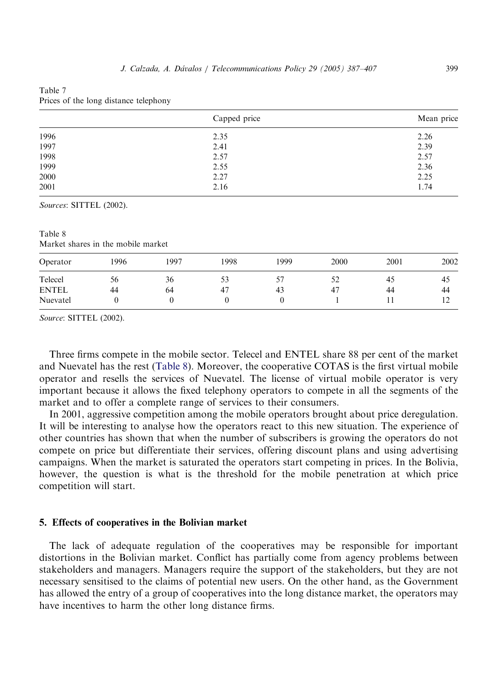| Prices of the long distance telephony |              |            |  |  |  |
|---------------------------------------|--------------|------------|--|--|--|
|                                       | Capped price | Mean price |  |  |  |
| 1996                                  | 2.35         | 2.26       |  |  |  |
| 1997                                  | 2.41         | 2.39       |  |  |  |
| 1998                                  | 2.57         | 2.57       |  |  |  |
| 1999                                  | 2.55         | 2.36       |  |  |  |
| 2000                                  | 2.27         | 2.25       |  |  |  |
| 2001                                  | 2.16         | 1.74       |  |  |  |

<span id="page-12-0"></span>Table 7 Prices of the long distance telephony

Sources: SITTEL (2002).

Table 8 Market shares in the mobile market

| Operator                | 1996     | 1997     | 1998     | 1999    | 2000     | 2001     | 2002           |
|-------------------------|----------|----------|----------|---------|----------|----------|----------------|
| Telecel<br><b>ENTEL</b> | 56<br>44 | 36<br>64 | ЭĴ<br>47 | ◡<br>43 | 52<br>47 | 45<br>44 | 45<br>44       |
| Nuevatel                |          |          |          |         |          |          | $\overline{1}$ |

Source: SITTEL (2002).

Three firms compete in the mobile sector. Telecel and ENTEL share 88 per cent of the market and Nuevatel has the rest (Table 8). Moreover, the cooperative COTAS is the first virtual mobile operator and resells the services of Nuevatel. The license of virtual mobile operator is very important because it allows the fixed telephony operators to compete in all the segments of the market and to offer a complete range of services to their consumers.

In 2001, aggressive competition among the mobile operators brought about price deregulation. It will be interesting to analyse how the operators react to this new situation. The experience of other countries has shown that when the number of subscribers is growing the operators do not compete on price but differentiate their services, offering discount plans and using advertising campaigns. When the market is saturated the operators start competing in prices. In the Bolivia, however, the question is what is the threshold for the mobile penetration at which price competition will start.

### 5. Effects of cooperatives in the Bolivian market

The lack of adequate regulation of the cooperatives may be responsible for important distortions in the Bolivian market. Conflict has partially come from agency problems between stakeholders and managers. Managers require the support of the stakeholders, but they are not necessary sensitised to the claims of potential newusers. On the other hand, as the Government has allowed the entry of a group of cooperatives into the long distance market, the operators may have incentives to harm the other long distance firms.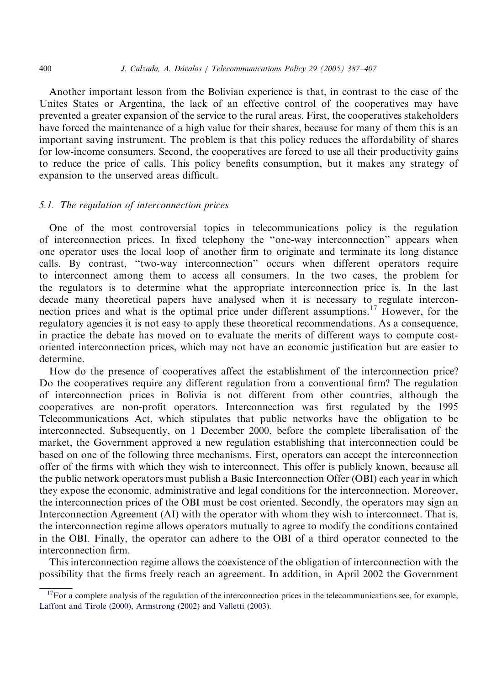Another important lesson from the Bolivian experience is that, in contrast to the case of the Unites States or Argentina, the lack of an effective control of the cooperatives may have prevented a greater expansion of the service to the rural areas. First, the cooperatives stakeholders have forced the maintenance of a high value for their shares, because for many of them this is an important saving instrument. The problem is that this policy reduces the affordability of shares for low-income consumers. Second, the cooperatives are forced to use all their productivity gains to reduce the price of calls. This policy benefits consumption, but it makes any strategy of expansion to the unserved areas difficult.

# 5.1. The regulation of interconnection prices

One of the most controversial topics in telecommunications policy is the regulation of interconnection prices. In fixed telephony the ''one-way interconnection'' appears when one operator uses the local loop of another firm to originate and terminate its long distance calls. By contrast, ''two-way interconnection'' occurs when different operators require to interconnect among them to access all consumers. In the two cases, the problem for the regulators is to determine what the appropriate interconnection price is. In the last decade many theoretical papers have analysed when it is necessary to regulate interconnection prices and what is the optimal price under different assumptions.<sup>17</sup> However, for the regulatory agencies it is not easy to apply these theoretical recommendations. As a consequence, in practice the debate has moved on to evaluate the merits of different ways to compute costoriented interconnection prices, which may not have an economic justification but are easier to determine.

Howdo the presence of cooperatives affect the establishment of the interconnection price? Do the cooperatives require any different regulation from a conventional firm? The regulation of interconnection prices in Bolivia is not different from other countries, although the cooperatives are non-profit operators. Interconnection was first regulated by the 1995 Telecommunications Act, which stipulates that public networks have the obligation to be interconnected. Subsequently, on 1 December 2000, before the complete liberalisation of the market, the Government approved a newregulation establishing that interconnection could be based on one of the following three mechanisms. First, operators can accept the interconnection offer of the firms with which they wish to interconnect. This offer is publicly known, because all the public network operators must publish a Basic Interconnection Offer (OBI) each year in which they expose the economic, administrative and legal conditions for the interconnection. Moreover, the interconnection prices of the OBI must be cost oriented. Secondly, the operators may sign an Interconnection Agreement (AI) with the operator with whom they wish to interconnect. That is, the interconnection regime allows operators mutually to agree to modify the conditions contained in the OBI. Finally, the operator can adhere to the OBI of a third operator connected to the interconnection firm.

This interconnection regime allows the coexistence of the obligation of interconnection with the possibility that the firms freely reach an agreement. In addition, in April 2002 the Government

 $17$ For a complete analysis of the regulation of the interconnection prices in the telecommunications see, for example, [Laffont and Tirole \(2000\)](#page-19-0), [Armstrong \(2002\)](#page-18-0) and [Valletti \(2003\).](#page-19-0)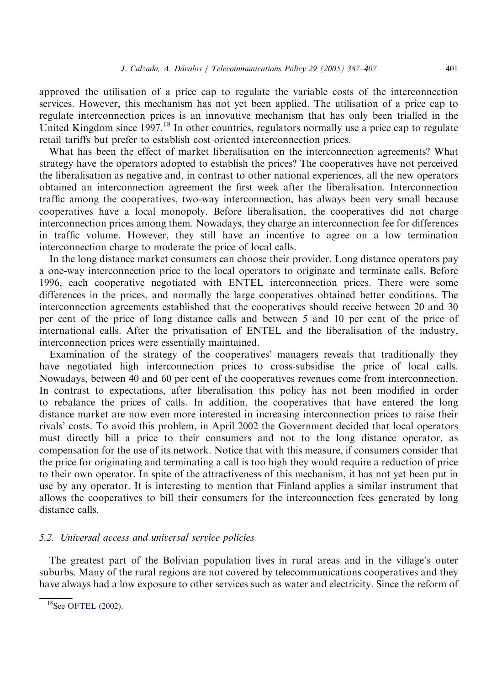approved the utilisation of a price cap to regulate the variable costs of the interconnection services. However, this mechanism has not yet been applied. The utilisation of a price cap to regulate interconnection prices is an innovative mechanism that has only been trialled in the United Kingdom since  $1997<sup>18</sup>$  In other countries, regulators normally use a price cap to regulate retail tariffs but prefer to establish cost oriented interconnection prices.

What has been the effect of market liberalisation on the interconnection agreements? What strategy have the operators adopted to establish the prices? The cooperatives have not perceived the liberalisation as negative and, in contrast to other national experiences, all the newoperators obtained an interconnection agreement the first week after the liberalisation. Interconnection traffic among the cooperatives, two-way interconnection, has always been very small because cooperatives have a local monopoly. Before liberalisation, the cooperatives did not charge interconnection prices among them. Nowadays, they charge an interconnection fee for differences in traffic volume. However, they still have an incentive to agree on a low termination interconnection charge to moderate the price of local calls.

In the long distance market consumers can choose their provider. Long distance operators pay a one-way interconnection price to the local operators to originate and terminate calls. Before 1996, each cooperative negotiated with ENTEL interconnection prices. There were some differences in the prices, and normally the large cooperatives obtained better conditions. The interconnection agreements established that the cooperatives should receive between 20 and 30 per cent of the price of long distance calls and between 5 and 10 per cent of the price of international calls. After the privatisation of ENTEL and the liberalisation of the industry, interconnection prices were essentially maintained.

Examination of the strategy of the cooperatives' managers reveals that traditionally they have negotiated high interconnection prices to cross-subsidise the price of local calls. Nowadays, between 40 and 60 per cent of the cooperatives revenues come from interconnection. In contrast to expectations, after liberalisation this policy has not been modified in order to rebalance the prices of calls. In addition, the cooperatives that have entered the long distance market are noweven more interested in increasing interconnection prices to raise their rivals' costs. To avoid this problem, in April 2002 the Government decided that local operators must directly bill a price to their consumers and not to the long distance operator, as compensation for the use of its network. Notice that with this measure, if consumers consider that the price for originating and terminating a call is too high they would require a reduction of price to their own operator. In spite of the attractiveness of this mechanism, it has not yet been put in use by any operator. It is interesting to mention that Finland applies a similar instrument that allows the cooperatives to bill their consumers for the interconnection fees generated by long distance calls.

# 5.2. Universal access and universal service policies

The greatest part of the Bolivian population lives in rural areas and in the village's outer suburbs. Many of the rural regions are not covered by telecommunications cooperatives and they have always had a low exposure to other services such as water and electricity. Since the reform of

<sup>&</sup>lt;sup>18</sup>See [OFTEL \(2002\)](#page-19-0).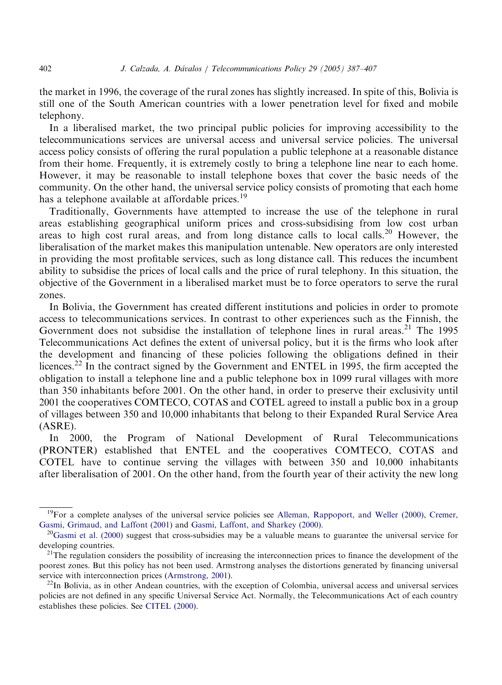the market in 1996, the coverage of the rural zones has slightly increased. In spite of this, Bolivia is still one of the South American countries with a lower penetration level for fixed and mobile telephony.

In a liberalised market, the two principal public policies for improving accessibility to the telecommunications services are universal access and universal service policies. The universal access policy consists of offering the rural population a public telephone at a reasonable distance from their home. Frequently, it is extremely costly to bring a telephone line near to each home. However, it may be reasonable to install telephone boxes that cover the basic needs of the community. On the other hand, the universal service policy consists of promoting that each home has a telephone available at affordable prices.<sup>19</sup>

Traditionally, Governments have attempted to increase the use of the telephone in rural areas establishing geographical uniform prices and cross-subsidising from lowcost urban areas to high cost rural areas, and from long distance calls to local calls.20 However, the liberalisation of the market makes this manipulation untenable. Newoperators are only interested in providing the most profitable services, such as long distance call. This reduces the incumbent ability to subsidise the prices of local calls and the price of rural telephony. In this situation, the objective of the Government in a liberalised market must be to force operators to serve the rural zones.

In Bolivia, the Government has created different institutions and policies in order to promote access to telecommunications services. In contrast to other experiences such as the Finnish, the Government does not subsidise the installation of telephone lines in rural areas.<sup>21</sup> The 1995 Telecommunications Act defines the extent of universal policy, but it is the firms who look after the development and financing of these policies following the obligations defined in their licences.<sup>22</sup> In the contract signed by the Government and ENTEL in 1995, the firm accepted the obligation to install a telephone line and a public telephone box in 1099 rural villages with more than 350 inhabitants before 2001. On the other hand, in order to preserve their exclusivity until 2001 the cooperatives COMTECO, COTAS and COTEL agreed to install a public box in a group of villages between 350 and 10,000 inhabitants that belong to their Expanded Rural Service Area (ASRE).

In 2000, the Program of National Development of Rural Telecommunications (PRONTER) established that ENTEL and the cooperatives COMTECO, COTAS and COTEL have to continue serving the villages with between 350 and 10,000 inhabitants after liberalisation of 2001. On the other hand, from the fourth year of their activity the newlong

<sup>&</sup>lt;sup>19</sup>For a complete analyses of the universal service policies see [Alleman, Rappoport, and Weller \(2000\),](#page-18-0) [Cremer,](#page-19-0) [Gasmi, Grimaud, and Laffont \(2001\)](#page-19-0) and [Gasmi, Laffont, and Sharkey \(2000\)](#page-19-0).<br><sup>20</sup>[Gasmi et al. \(2000\)](#page-19-0) suggest that cross-subsidies may be a valuable means to guarantee the universal service for

developing countries.<br><sup>21</sup>The regulation considers the possibility of increasing the interconnection prices to finance the development of the

poorest zones. But this policy has not been used. Armstrong analyses the distortions generated by financing universal service with interconnection prices ([Armstrong, 2001](#page-18-0)).<br><sup>22</sup>In Bolivia, as in other Andean countries, with the exception of Colombia, universal access and universal services

policies are not defined in any specific Universal Service Act. Normally, the Telecommunications Act of each country establishes these policies. See [CITEL \(2000\).](#page-19-0)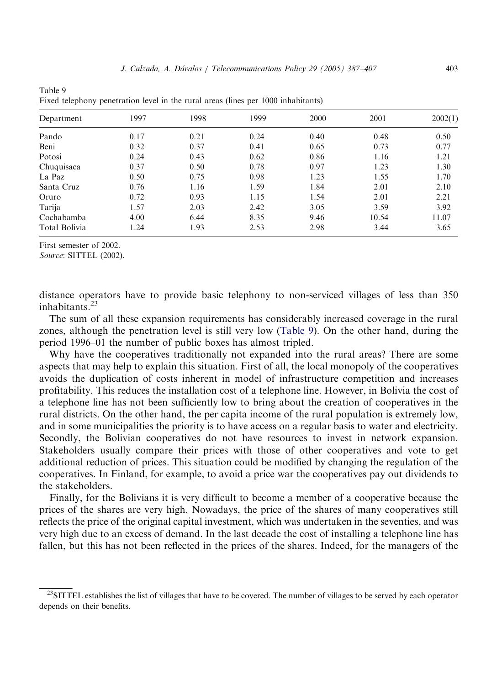| Department    | 1997 | 1998 | 1999 | 2000 | 2001  | 2002(1) |
|---------------|------|------|------|------|-------|---------|
| Pando         | 0.17 | 0.21 | 0.24 | 0.40 | 0.48  | 0.50    |
| Beni          | 0.32 | 0.37 | 0.41 | 0.65 | 0.73  | 0.77    |
| Potosí        | 0.24 | 0.43 | 0.62 | 0.86 | 1.16  | 1.21    |
| Chuquisaca    | 0.37 | 0.50 | 0.78 | 0.97 | 1.23  | 1.30    |
| La Paz        | 0.50 | 0.75 | 0.98 | 1.23 | 1.55  | 1.70    |
| Santa Cruz    | 0.76 | 1.16 | 1.59 | 1.84 | 2.01  | 2.10    |
| Oruro         | 0.72 | 0.93 | 1.15 | 1.54 | 2.01  | 2.21    |
| Tarija        | 1.57 | 2.03 | 2.42 | 3.05 | 3.59  | 3.92    |
| Cochabamba    | 4.00 | 6.44 | 8.35 | 9.46 | 10.54 | 11.07   |
| Total Bolivia | 1.24 | 1.93 | 2.53 | 2.98 | 3.44  | 3.65    |

Fixed telephony penetration level in the rural areas (lines per 1000 inhabitants)

First semester of 2002.

Table 9

Source: SITTEL (2002).

distance operators have to provide basic telephony to non-serviced villages of less than 350 inhabitants.23

The sum of all these expansion requirements has considerably increased coverage in the rural zones, although the penetration level is still very low(Table 9). On the other hand, during the period 1996–01 the number of public boxes has almost tripled.

Why have the cooperatives traditionally not expanded into the rural areas? There are some aspects that may help to explain this situation. First of all, the local monopoly of the cooperatives avoids the duplication of costs inherent in model of infrastructure competition and increases profitability. This reduces the installation cost of a telephone line. However, in Bolivia the cost of a telephone line has not been sufficiently lowto bring about the creation of cooperatives in the rural districts. On the other hand, the per capita income of the rural population is extremely low, and in some municipalities the priority is to have access on a regular basis to water and electricity. Secondly, the Bolivian cooperatives do not have resources to invest in network expansion. Stakeholders usually compare their prices with those of other cooperatives and vote to get additional reduction of prices. This situation could be modified by changing the regulation of the cooperatives. In Finland, for example, to avoid a price war the cooperatives pay out dividends to the stakeholders.

Finally, for the Bolivians it is very difficult to become a member of a cooperative because the prices of the shares are very high. Nowadays, the price of the shares of many cooperatives still reflects the price of the original capital investment, which was undertaken in the seventies, and was very high due to an excess of demand. In the last decade the cost of installing a telephone line has fallen, but this has not been reflected in the prices of the shares. Indeed, for the managers of the

<sup>&</sup>lt;sup>23</sup>SITTEL establishes the list of villages that have to be covered. The number of villages to be served by each operator depends on their benefits.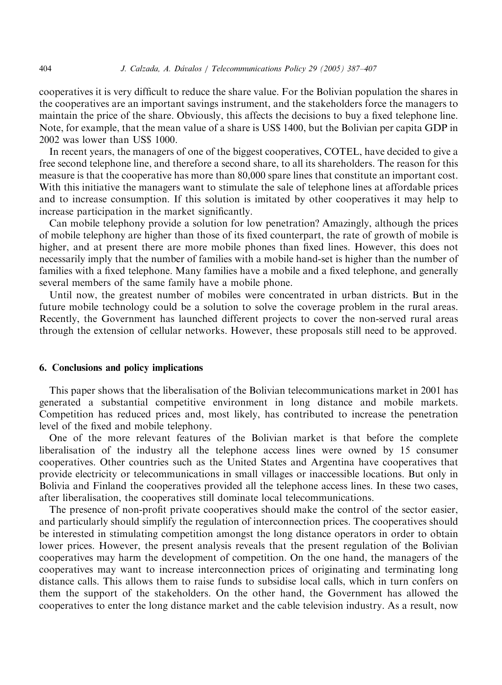cooperatives it is very difficult to reduce the share value. For the Bolivian population the shares in the cooperatives are an important savings instrument, and the stakeholders force the managers to maintain the price of the share. Obviously, this affects the decisions to buy a fixed telephone line. Note, for example, that the mean value of a share is US\$ 1400, but the Bolivian per capita GDP in 2002 was lower than US\$ 1000.

In recent years, the managers of one of the biggest cooperatives, COTEL, have decided to give a free second telephone line, and therefore a second share, to all its shareholders. The reason for this measure is that the cooperative has more than 80,000 spare lines that constitute an important cost. With this initiative the managers want to stimulate the sale of telephone lines at affordable prices and to increase consumption. If this solution is imitated by other cooperatives it may help to increase participation in the market significantly.

Can mobile telephony provide a solution for low penetration? Amazingly, although the prices of mobile telephony are higher than those of its fixed counterpart, the rate of growth of mobile is higher, and at present there are more mobile phones than fixed lines. However, this does not necessarily imply that the number of families with a mobile hand-set is higher than the number of families with a fixed telephone. Many families have a mobile and a fixed telephone, and generally several members of the same family have a mobile phone.

Until now, the greatest number of mobiles were concentrated in urban districts. But in the future mobile technology could be a solution to solve the coverage problem in the rural areas. Recently, the Government has launched different projects to cover the non-served rural areas through the extension of cellular networks. However, these proposals still need to be approved.

#### 6. Conclusions and policy implications

This paper shows that the liberalisation of the Bolivian telecommunications market in 2001 has generated a substantial competitive environment in long distance and mobile markets. Competition has reduced prices and, most likely, has contributed to increase the penetration level of the fixed and mobile telephony.

One of the more relevant features of the Bolivian market is that before the complete liberalisation of the industry all the telephone access lines were owned by 15 consumer cooperatives. Other countries such as the United States and Argentina have cooperatives that provide electricity or telecommunications in small villages or inaccessible locations. But only in Bolivia and Finland the cooperatives provided all the telephone access lines. In these two cases, after liberalisation, the cooperatives still dominate local telecommunications.

The presence of non-profit private cooperatives should make the control of the sector easier, and particularly should simplify the regulation of interconnection prices. The cooperatives should be interested in stimulating competition amongst the long distance operators in order to obtain lower prices. However, the present analysis reveals that the present regulation of the Bolivian cooperatives may harm the development of competition. On the one hand, the managers of the cooperatives may want to increase interconnection prices of originating and terminating long distance calls. This allows them to raise funds to subsidise local calls, which in turn confers on them the support of the stakeholders. On the other hand, the Government has allowed the cooperatives to enter the long distance market and the cable television industry. As a result, now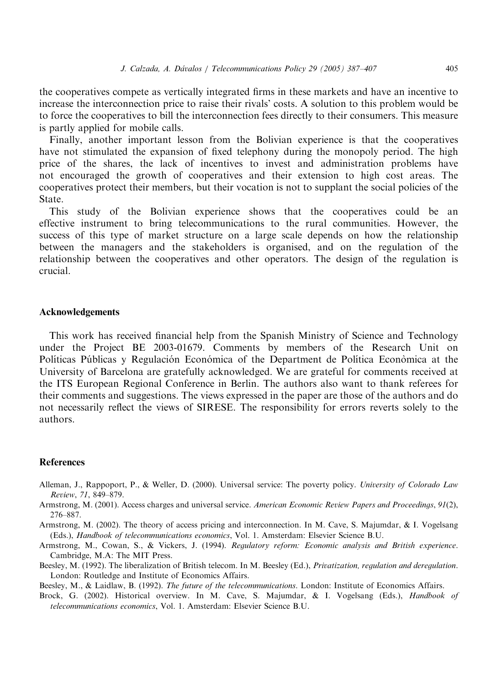<span id="page-18-0"></span>the cooperatives compete as vertically integrated firms in these markets and have an incentive to increase the interconnection price to raise their rivals' costs. A solution to this problem would be to force the cooperatives to bill the interconnection fees directly to their consumers. This measure is partly applied for mobile calls.

Finally, another important lesson from the Bolivian experience is that the cooperatives have not stimulated the expansion of fixed telephony during the monopoly period. The high price of the shares, the lack of incentives to invest and administration problems have not encouraged the growth of cooperatives and their extension to high cost areas. The cooperatives protect their members, but their vocation is not to supplant the social policies of the State.

This study of the Bolivian experience shows that the cooperatives could be an effective instrument to bring telecommunications to the rural communities. However, the success of this type of market structure on a large scale depends on howthe relationship between the managers and the stakeholders is organised, and on the regulation of the relationship between the cooperatives and other operators. The design of the regulation is crucial.

# Acknowledgements

This work has received financial help from the Spanish Ministry of Science and Technology under the Project BE 2003-01679. Comments by members of the Research Unit on Políticas Públicas y Regulación Económica of the Department de Política Economica at the University of Barcelona are gratefully acknowledged. We are grateful for comments received at the ITS European Regional Conference in Berlin. The authors also want to thank referees for their comments and suggestions. The views expressed in the paper are those of the authors and do not necessarily reflect the views of SIRESE. The responsibility for errors reverts solely to the authors.

#### **References**

- Alleman, J., Rappoport, P., & Weller, D. (2000). Universal service: The poverty policy. University of Colorado Law Review, 71, 849–879.
- Armstrong, M. (2001). Access charges and universal service. American Economic Review Papers and Proceedings, 91(2), 276–887.
- Armstrong, M. (2002). The theory of access pricing and interconnection. In M. Cave, S. Majumdar, & I. Vogelsang (Eds.), Handbook of telecommunications economics, Vol. 1. Amsterdam: Elsevier Science B.U.
- Armstrong, M., Cowan, S., & Vickers, J. (1994). Regulatory reform: Economic analysis and British experience. Cambridge, M.A: The MIT Press.
- Beesley, M. (1992). The liberalization of British telecom. In M. Beesley (Ed.), Privatization, regulation and deregulation. London: Routledge and Institute of Economics Affairs.

Beesley, M., & Laidlaw, B. (1992). The future of the telecommunications. London: Institute of Economics Affairs.

Brock, G. (2002). Historical overview. In M. Cave, S. Majumdar, & I. Vogelsang (Eds.), *Handbook of* telecommunications economics, Vol. 1. Amsterdam: Elsevier Science B.U.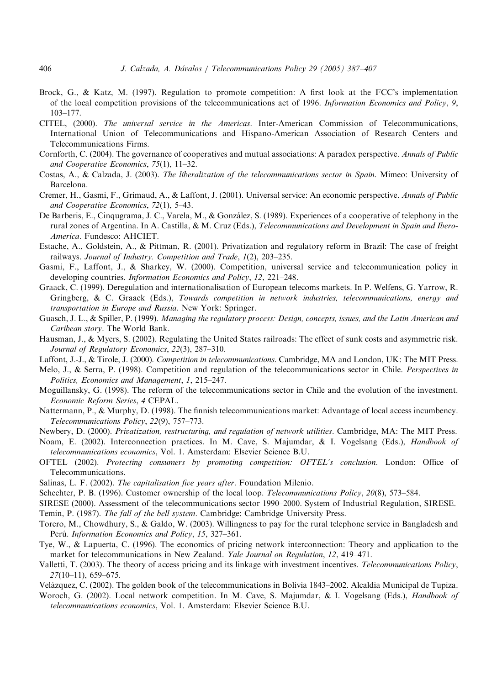- <span id="page-19-0"></span>Brock, G., & Katz, M. (1997). Regulation to promote competition: A first look at the FCC's implementation of the local competition provisions of the telecommunications act of 1996. Information Economics and Policy, 9, 103–177.
- CITEL, (2000). The universal service in the Americas. Inter-American Commission of Telecommunications, International Union of Telecommunications and Hispano-American Association of Research Centers and Telecommunications Firms.
- Cornforth, C. (2004). The governance of cooperatives and mutual associations: A paradox perspective. Annals of Public and Cooperative Economics, 75(1), 11–32.
- Costas, A., & Calzada, J. (2003). The liberalization of the telecommunications sector in Spain. Mimeo: University of Barcelona.
- Cremer, H., Gasmi, F., Grimaud, A., & Laffont, J. (2001). Universal service: An economic perspective. Annals of Public and Cooperative Economics, 72(1), 5–43.
- De Barberis, E., Cinqugrama, J. C., Varela, M., & González, S. (1989). Experiences of a cooperative of telephony in the rural zones of Argentina. In A. Castilla, & M. Cruz (Eds.), Telecommunications and Development in Spain and Ibero-America. Fundesco: AHCIET.
- Estache, A., Goldstein, A., & Pittman, R. (2001). Privatization and regulatory reform in Brazil: The case of freight railways. Journal of Industry. Competition and Trade, 1(2), 203–235.
- Gasmi, F., Laffont, J., & Sharkey, W. (2000). Competition, universal service and telecommunication policy in developing countries. Information Economics and Policy, 12, 221–248.
- Graack, C. (1999). Deregulation and internationalisation of European telecoms markets. In P. Welfens, G. Yarrow, R. Gringberg, & C. Graack (Eds.), Towards competition in network industries, telecommunications, energy and transportation in Europe and Russia. New York: Springer.
- Guasch, J. L., & Spiller, P. (1999). Managing the regulatory process: Design, concepts, issues, and the Latin American and Caribean story. The World Bank.
- Hausman, J., & Myers, S. (2002). Regulating the United States railroads: The effect of sunk costs and asymmetric risk. Journal of Regulatory Economics, 22(3), 287–310.
- Laffont, J.-J., & Tirole, J. (2000). Competition in telecommunications. Cambridge, MA and London, UK: The MIT Press.
- Melo, J., & Serra, P. (1998). Competition and regulation of the telecommunications sector in Chile. Perspectives in Politics, Economics and Management, 1, 215–247.
- Moguillansky, G. (1998). The reform of the telecommunications sector in Chile and the evolution of the investment. Economic Reform Series, 4 CEPAL.
- Nattermann, P., & Murphy, D. (1998). The finnish telecommunications market: Advantage of local access incumbency. Telecommunications Policy, 22(9), 757–773.

Newbery, D. (2000). Privatization, restructuring, and regulation of network utilities. Cambridge, MA: The MIT Press.

- Noam, E. (2002). Interconnection practices. In M. Cave, S. Majumdar, & I. Vogelsang (Eds.), Handbook of telecommunications economics, Vol. 1. Amsterdam: Elsevier Science B.U.
- OFTEL (2002). Protecting consumers by promoting competition: OFTEL's conclusion. London: Office of Telecommunications.
- Salinas, L. F. (2002). The capitalisation five years after. Foundation Milenio.
- Schechter, P. B. (1996). Customer ownership of the local loop. Telecommunications Policy, 20(8), 573–584.
- SIRESE (2000). Assessment of the telecommunications sector 1990–2000. System of Industrial Regulation, SIRESE.
- Temin, P. (1987). The fall of the bell system. Cambridge: Cambridge University Press.
- Torero, M., Chowdhury, S., & Galdo, W. (2003). Willingness to pay for the rural telephone service in Bangladesh and Perú. Information Economics and Policy, 15, 327-361.
- Tye, W., & Lapuerta, C. (1996). The economics of pricing network interconnection: Theory and application to the market for telecommunications in New Zealand. Yale Journal on Regulation, 12, 419–471.
- Valletti, T. (2003). The theory of access pricing and its linkage with investment incentives. Telecommunications Policy, 27(10–11), 659–675.
- Velázquez, C. (2002). The golden book of the telecommunications in Bolivia 1843–2002. Alcaldía Municipal de Tupiza.
- Woroch, G. (2002). Local network competition. In M. Cave, S. Majumdar, & I. Vogelsang (Eds.), *Handbook of* telecommunications economics, Vol. 1. Amsterdam: Elsevier Science B.U.